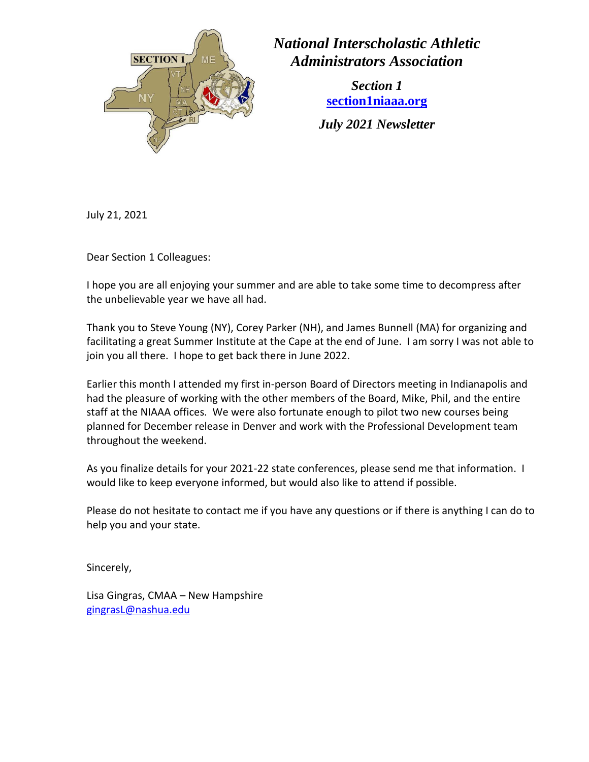

*National Interscholastic Athletic Administrators Association*

> *Section 1* **[section1niaaa.org](https://www.section1niaaa.org/site/home)**

*July 2021 Newsletter*

July 21, 2021

Dear Section 1 Colleagues:

I hope you are all enjoying your summer and are able to take some time to decompress after the unbelievable year we have all had.

Thank you to Steve Young (NY), Corey Parker (NH), and James Bunnell (MA) for organizing and facilitating a great Summer Institute at the Cape at the end of June. I am sorry I was not able to join you all there. I hope to get back there in June 2022.

Earlier this month I attended my first in-person Board of Directors meeting in Indianapolis and had the pleasure of working with the other members of the Board, Mike, Phil, and the entire staff at the NIAAA offices. We were also fortunate enough to pilot two new courses being planned for December release in Denver and work with the Professional Development team throughout the weekend.

As you finalize details for your 2021-22 state conferences, please send me that information. I would like to keep everyone informed, but would also like to attend if possible.

Please do not hesitate to contact me if you have any questions or if there is anything I can do to help you and your state.

Sincerely,

Lisa Gingras, CMAA – New Hampshire [gingrasL@nashua.edu](mailto:gingrasL@nashua.edu)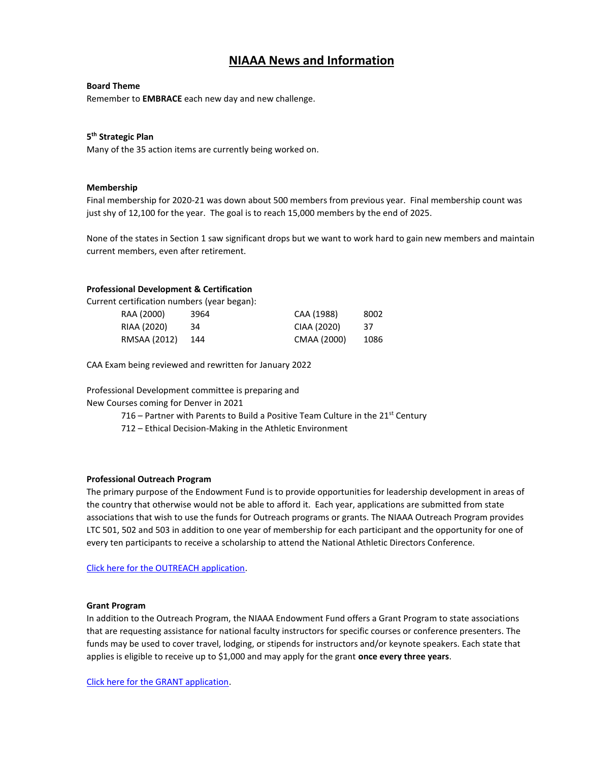# **NIAAA News and Information**

## **Board Theme**

Remember to **EMBRACE** each new day and new challenge.

# **5 th Strategic Plan**

Many of the 35 action items are currently being worked on.

## **Membership**

Final membership for 2020-21 was down about 500 members from previous year. Final membership count was just shy of 12,100 for the year. The goal is to reach 15,000 members by the end of 2025.

None of the states in Section 1 saw significant drops but we want to work hard to gain new members and maintain current members, even after retirement.

# **Professional Development & Certification**

Current certification numbers (year began):

| RAA (2000)   | 3964 | CAA (1988)  | 8002 |
|--------------|------|-------------|------|
| RIAA (2020)  | 34   | CIAA (2020) | -37  |
| RMSAA (2012) | 144  | CMAA (2000) | 1086 |

CAA Exam being reviewed and rewritten for January 2022

Professional Development committee is preparing and

New Courses coming for Denver in 2021

716 – Partner with Parents to Build a Positive Team Culture in the  $21<sup>st</sup>$  Century

712 – Ethical Decision-Making in the Athletic Environment

# **Professional Outreach Program**

The primary purpose of the Endowment Fund is to provide opportunities for leadership development in areas of the country that otherwise would not be able to afford it. Each year, applications are submitted from state associations that wish to use the funds for Outreach programs or grants. The NIAAA Outreach Program provides LTC 501, 502 and 503 in addition to one year of membership for each participant and the opportunity for one of every ten participants to receive a scholarship to attend the National Athletic Directors Conference.

[Click here for the OUTREACH application.](http://media.mycrowdwisdom.com.s3.amazonaws.com/niaaa/Website/Professional%20Outreach%20Application%201-24-2020.pdf)

### **Grant Program**

In addition to the Outreach Program, the NIAAA Endowment Fund offers a Grant Program to state associations that are requesting assistance for national faculty instructors for specific courses or conference presenters. The funds may be used to cover travel, lodging, or stipends for instructors and/or keynote speakers. Each state that applies is eligible to receive up to \$1,000 and may apply for the grant **once every three years**.

[Click here for the GRANT application.](https://cdn.ymaws.com/members.niaaa.org/resource/resmgr/docs/Grant_Application_Fillable.pdf)